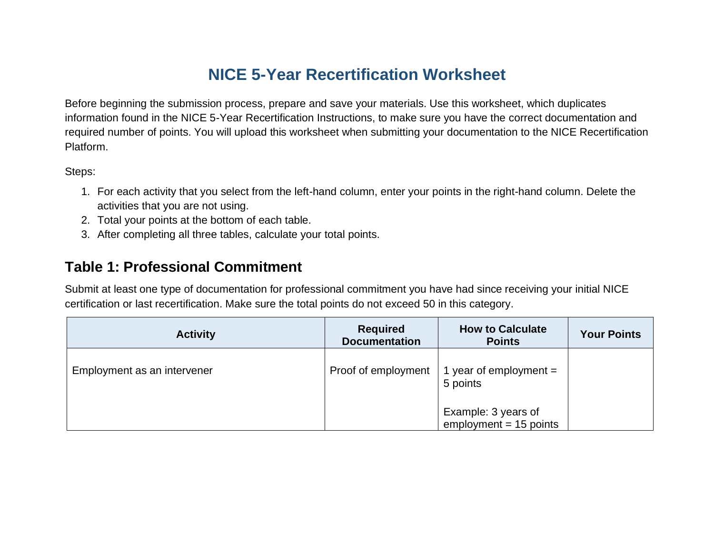# **NICE 5-Year Recertification Worksheet**

Before beginning the submission process, prepare and save your materials. Use this worksheet, which duplicates information found in the NICE 5-Year Recertification Instructions, to make sure you have the correct documentation and required number of points. You will upload this worksheet when submitting your documentation to the NICE Recertification Platform.

Steps:

- 1. For each activity that you select from the left-hand column, enter your points in the right-hand column. Delete the activities that you are not using.
- 2. Total your points at the bottom of each table.
- 3. After completing all three tables, calculate your total points.

### **Table 1: Professional Commitment**

Submit at least one type of documentation for professional commitment you have had since receiving your initial NICE certification or last recertification. Make sure the total points do not exceed 50 in this category.

| <b>Activity</b>             | <b>Required</b><br><b>Documentation</b> | <b>How to Calculate</b><br><b>Points</b>         | <b>Your Points</b> |
|-----------------------------|-----------------------------------------|--------------------------------------------------|--------------------|
| Employment as an intervener | Proof of employment                     | $\frac{1}{2}$ 1 year of employment =<br>5 points |                    |
|                             |                                         | Example: 3 years of<br>$employment = 15 points$  |                    |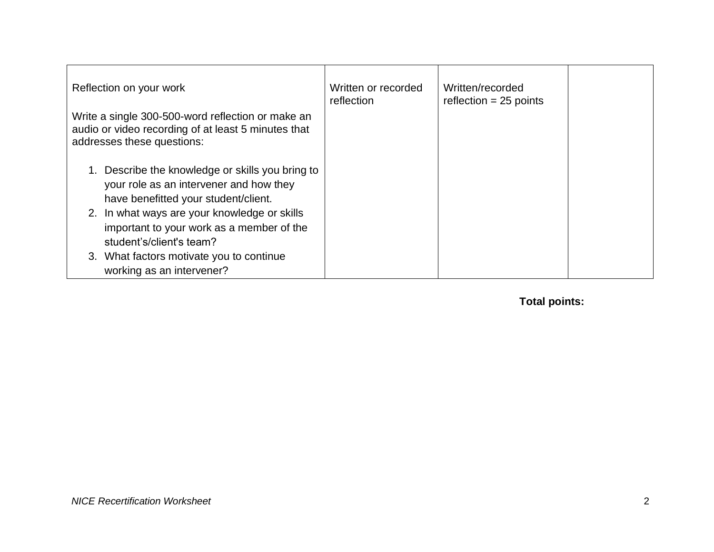| Reflection on your work                                                                                                                                                                                                                                   | Written or recorded<br>reflection | Written/recorded<br>reflection $= 25$ points |  |
|-----------------------------------------------------------------------------------------------------------------------------------------------------------------------------------------------------------------------------------------------------------|-----------------------------------|----------------------------------------------|--|
| Write a single 300-500-word reflection or make an<br>audio or video recording of at least 5 minutes that<br>addresses these questions:                                                                                                                    |                                   |                                              |  |
| Describe the knowledge or skills you bring to<br>your role as an intervener and how they<br>have benefitted your student/client.<br>2. In what ways are your knowledge or skills<br>important to your work as a member of the<br>student's/client's team? |                                   |                                              |  |
| 3. What factors motivate you to continue<br>working as an intervener?                                                                                                                                                                                     |                                   |                                              |  |

**Total points:**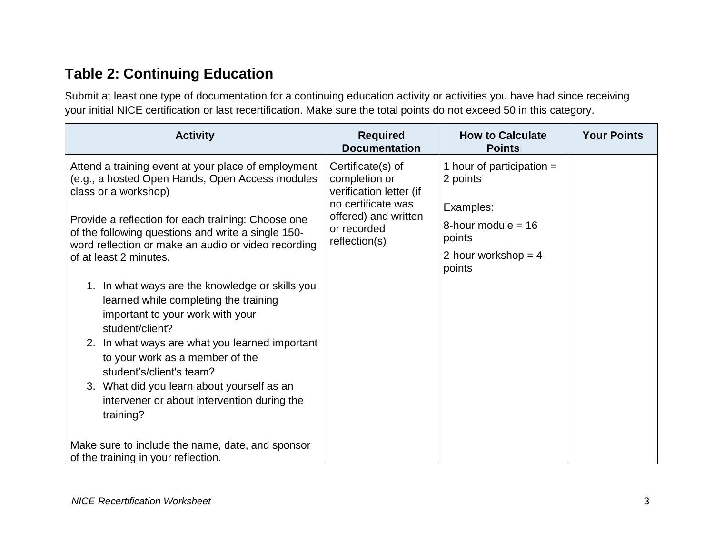# **Table 2: Continuing Education**

Submit at least one type of documentation for a continuing education activity or activities you have had since receiving your initial NICE certification or last recertification. Make sure the total points do not exceed 50 in this category.

| <b>Activity</b>                                                                                                                                                                                                                                                                                                                                                                                                                                                                                                                                                                                                                                                                                           | <b>Required</b><br><b>Documentation</b>                                                                                                     | <b>How to Calculate</b><br><b>Points</b>                                                                                  | <b>Your Points</b> |
|-----------------------------------------------------------------------------------------------------------------------------------------------------------------------------------------------------------------------------------------------------------------------------------------------------------------------------------------------------------------------------------------------------------------------------------------------------------------------------------------------------------------------------------------------------------------------------------------------------------------------------------------------------------------------------------------------------------|---------------------------------------------------------------------------------------------------------------------------------------------|---------------------------------------------------------------------------------------------------------------------------|--------------------|
| Attend a training event at your place of employment<br>(e.g., a hosted Open Hands, Open Access modules<br>class or a workshop)<br>Provide a reflection for each training: Choose one<br>of the following questions and write a single 150-<br>word reflection or make an audio or video recording<br>of at least 2 minutes.<br>1. In what ways are the knowledge or skills you<br>learned while completing the training<br>important to your work with your<br>student/client?<br>2. In what ways are what you learned important<br>to your work as a member of the<br>student's/client's team?<br>3. What did you learn about yourself as an<br>intervener or about intervention during the<br>training? | Certificate(s) of<br>completion or<br>verification letter (if<br>no certificate was<br>offered) and written<br>or recorded<br>reflection(s) | 1 hour of participation $=$<br>2 points<br>Examples:<br>8-hour module = $16$<br>points<br>2-hour workshop = $4$<br>points |                    |
| Make sure to include the name, date, and sponsor<br>of the training in your reflection.                                                                                                                                                                                                                                                                                                                                                                                                                                                                                                                                                                                                                   |                                                                                                                                             |                                                                                                                           |                    |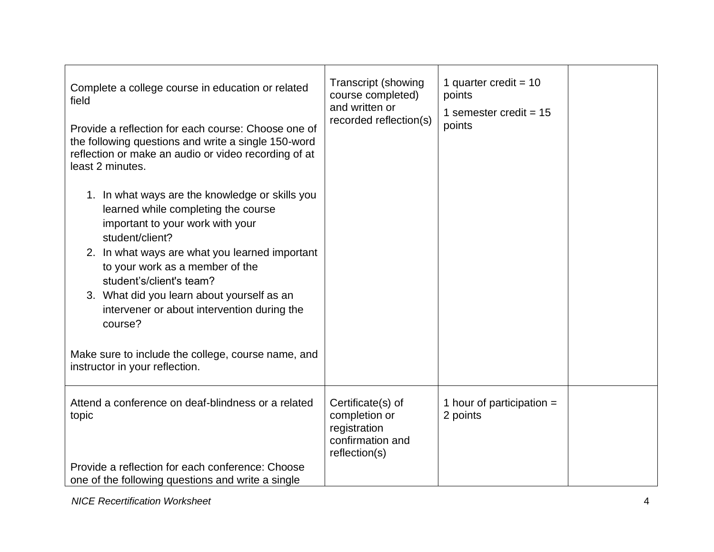| Complete a college course in education or related<br>field<br>Provide a reflection for each course: Choose one of<br>the following questions and write a single 150-word<br>reflection or make an audio or video recording of at<br>least 2 minutes.<br>1. In what ways are the knowledge or skills you<br>learned while completing the course<br>important to your work with your<br>student/client?<br>2. In what ways are what you learned important<br>to your work as a member of the<br>student's/client's team?<br>3. What did you learn about yourself as an<br>intervener or about intervention during the<br>course?<br>Make sure to include the college, course name, and<br>instructor in your reflection. | <b>Transcript (showing</b><br>course completed)<br>and written or<br>recorded reflection(s) | 1 quarter credit = $10$<br>points<br>1 semester credit = $15$<br>points |  |
|------------------------------------------------------------------------------------------------------------------------------------------------------------------------------------------------------------------------------------------------------------------------------------------------------------------------------------------------------------------------------------------------------------------------------------------------------------------------------------------------------------------------------------------------------------------------------------------------------------------------------------------------------------------------------------------------------------------------|---------------------------------------------------------------------------------------------|-------------------------------------------------------------------------|--|
| Attend a conference on deaf-blindness or a related<br>topic<br>Provide a reflection for each conference: Choose<br>one of the following questions and write a single                                                                                                                                                                                                                                                                                                                                                                                                                                                                                                                                                   | Certificate(s) of<br>completion or<br>registration<br>confirmation and<br>reflection(s)     | 1 hour of participation $=$<br>2 points                                 |  |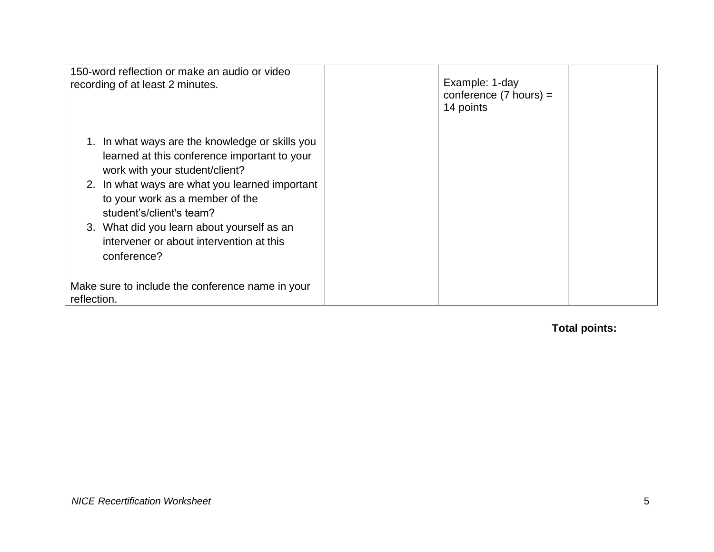| 150-word reflection or make an audio or video<br>recording of at least 2 minutes.                                                                                                                                                                                                                                                                        | Example: 1-day<br>conference $(7 \text{ hours}) =$<br>14 points |  |
|----------------------------------------------------------------------------------------------------------------------------------------------------------------------------------------------------------------------------------------------------------------------------------------------------------------------------------------------------------|-----------------------------------------------------------------|--|
| In what ways are the knowledge or skills you<br>learned at this conference important to your<br>work with your student/client?<br>2. In what ways are what you learned important<br>to your work as a member of the<br>student's/client's team?<br>3. What did you learn about yourself as an<br>intervener or about intervention at this<br>conference? |                                                                 |  |
| Make sure to include the conference name in your<br>reflection.                                                                                                                                                                                                                                                                                          |                                                                 |  |

**Total points:**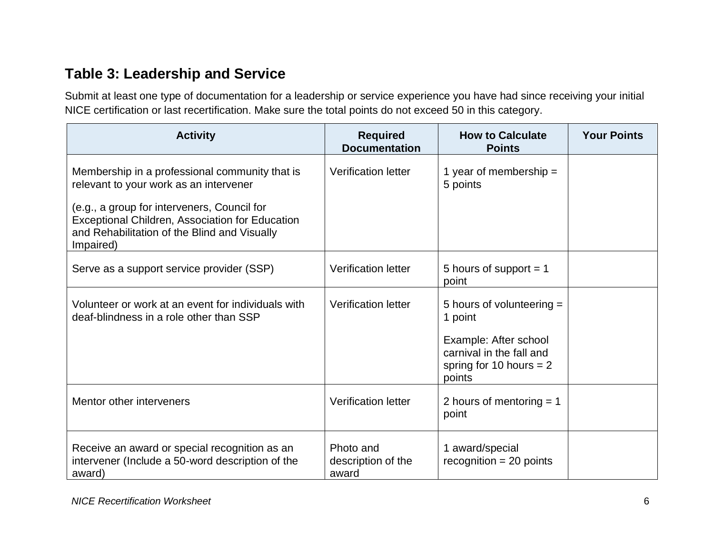## **Table 3: Leadership and Service**

Submit at least one type of documentation for a leadership or service experience you have had since receiving your initial NICE certification or last recertification. Make sure the total points do not exceed 50 in this category.

| <b>Activity</b>                                                                                                                                             | <b>Required</b><br><b>Documentation</b>  | <b>How to Calculate</b><br><b>Points</b>                                                 | <b>Your Points</b> |
|-------------------------------------------------------------------------------------------------------------------------------------------------------------|------------------------------------------|------------------------------------------------------------------------------------------|--------------------|
| Membership in a professional community that is<br>relevant to your work as an intervener                                                                    | <b>Verification letter</b>               | 1 year of membership $=$<br>5 points                                                     |                    |
| (e.g., a group for interveners, Council for<br>Exceptional Children, Association for Education<br>and Rehabilitation of the Blind and Visually<br>Impaired) |                                          |                                                                                          |                    |
| Serve as a support service provider (SSP)                                                                                                                   | <b>Verification letter</b>               | 5 hours of support $= 1$<br>point                                                        |                    |
| Volunteer or work at an event for individuals with<br>deaf-blindness in a role other than SSP                                                               | <b>Verification letter</b>               | 5 hours of volunteering =<br>1 point                                                     |                    |
|                                                                                                                                                             |                                          | Example: After school<br>carnival in the fall and<br>spring for 10 hours $= 2$<br>points |                    |
| Mentor other interveners                                                                                                                                    | <b>Verification letter</b>               | 2 hours of mentoring $= 1$<br>point                                                      |                    |
| Receive an award or special recognition as an<br>intervener (Include a 50-word description of the<br>award)                                                 | Photo and<br>description of the<br>award | 1 award/special<br>$recognition = 20 points$                                             |                    |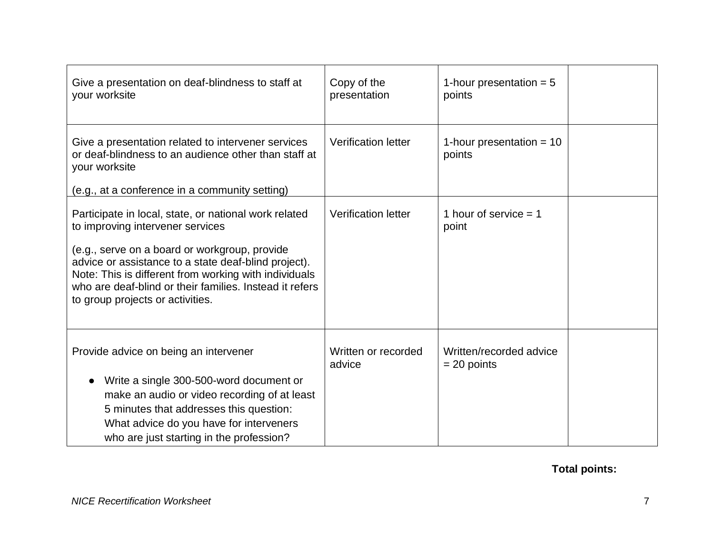| Give a presentation on deaf-blindness to staff at<br>your worksite                                                                                                                                                                                            | Copy of the<br>presentation   | 1-hour presentation $= 5$<br>points      |  |
|---------------------------------------------------------------------------------------------------------------------------------------------------------------------------------------------------------------------------------------------------------------|-------------------------------|------------------------------------------|--|
| Give a presentation related to intervener services<br>or deaf-blindness to an audience other than staff at<br>your worksite                                                                                                                                   | <b>Verification letter</b>    | 1-hour presentation = $10$<br>points     |  |
| (e.g., at a conference in a community setting)                                                                                                                                                                                                                |                               |                                          |  |
| Participate in local, state, or national work related<br>to improving intervener services                                                                                                                                                                     | <b>Verification letter</b>    | 1 hour of service $= 1$<br>point         |  |
| (e.g., serve on a board or workgroup, provide<br>advice or assistance to a state deaf-blind project).<br>Note: This is different from working with individuals<br>who are deaf-blind or their families. Instead it refers<br>to group projects or activities. |                               |                                          |  |
| Provide advice on being an intervener                                                                                                                                                                                                                         | Written or recorded<br>advice | Written/recorded advice<br>$= 20$ points |  |
| Write a single 300-500-word document or<br>$\bullet$                                                                                                                                                                                                          |                               |                                          |  |
| make an audio or video recording of at least<br>5 minutes that addresses this question:                                                                                                                                                                       |                               |                                          |  |
| What advice do you have for interveners                                                                                                                                                                                                                       |                               |                                          |  |
| who are just starting in the profession?                                                                                                                                                                                                                      |                               |                                          |  |

### **Total points:**